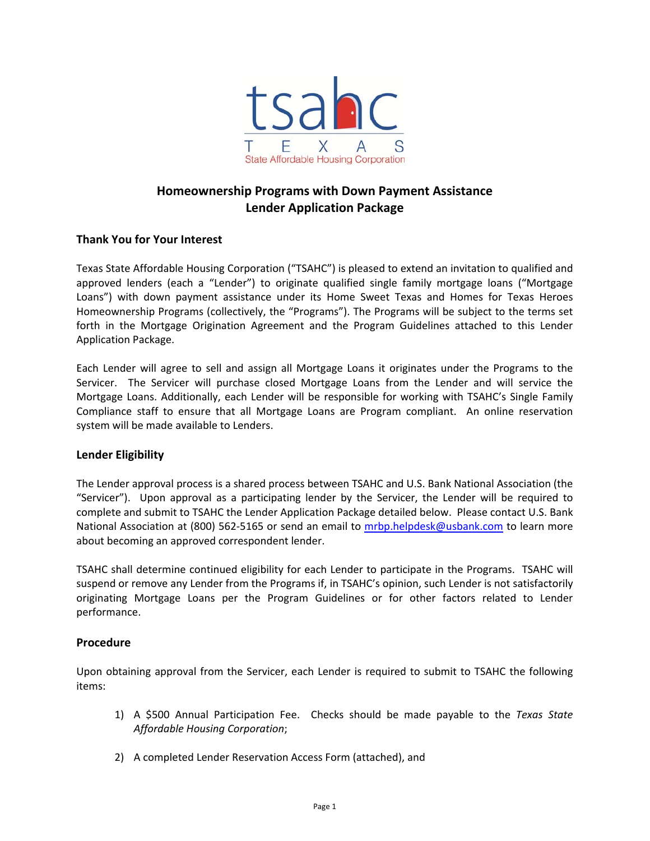

# **Homeownership Programs with Down Payment Assistance Lender Application Package**

### **Thank You for Your Interest**

Texas State Affordable Housing Corporation ("TSAHC") is pleased to extend an invitation to qualified and approved lenders (each a "Lender") to originate qualified single family mortgage loans ("Mortgage Loans") with down payment assistance under its Home Sweet Texas and Homes for Texas Heroes Homeownership Programs (collectively, the "Programs"). The Programs will be subject to the terms set forth in the Mortgage Origination Agreement and the Program Guidelines attached to this Lender Application Package.

Each Lender will agree to sell and assign all Mortgage Loans it originates under the Programs to the Servicer. The Servicer will purchase closed Mortgage Loans from the Lender and will service the Mortgage Loans. Additionally, each Lender will be responsible for working with TSAHC's Single Family Compliance staff to ensure that all Mortgage Loans are Program compliant. An online reservation system will be made available to Lenders.

### **Lender Eligibility**

The Lender approval process is a shared process between TSAHC and U.S. Bank National Association (the "Servicer"). Upon approval as a participating lender by the Servicer, the Lender will be required to complete and submit to TSAHC the Lender Application Package detailed below. Please contact U.S. Bank National Association at (800) 562-5165 or send an email to mrbp.helpdesk@usbank.com to learn more about becoming an approved correspondent lender.

TSAHC shall determine continued eligibility for each Lender to participate in the Programs. TSAHC will suspend or remove any Lender from the Programs if, in TSAHC's opinion, such Lender is not satisfactorily originating Mortgage Loans per the Program Guidelines or for other factors related to Lender performance.

### **Procedure**

Upon obtaining approval from the Servicer, each Lender is required to submit to TSAHC the following items:

- 1) A \$500 Annual Participation Fee. Checks should be made payable to the *Texas State Affordable Housing Corporation*;
- 2) A completed Lender Reservation Access Form (attached), and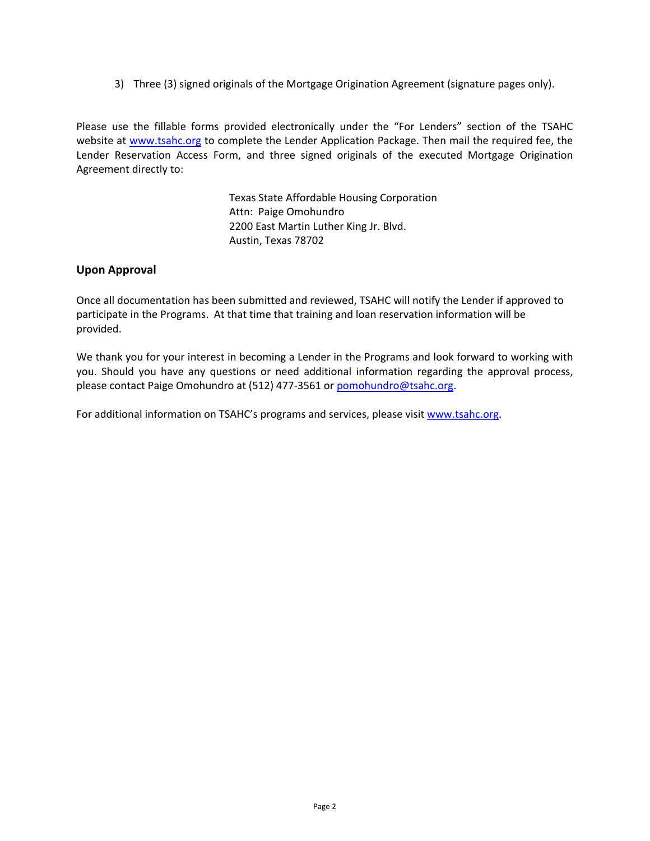3) Three (3) signed originals of the Mortgage Origination Agreement (signature pages only).

Please use the fillable forms provided electronically under the "For Lenders" section of the TSAHC website at www.tsahc.org to complete the Lender Application Package. Then mail the required fee, the Lender Reservation Access Form, and three signed originals of the executed Mortgage Origination Agreement directly to:

> Texas State Affordable Housing Corporation Attn: Paige Omohundro 2200 East Martin Luther King Jr. Blvd. Austin, Texas 78702

#### **Upon Approval**

Once all documentation has been submitted and reviewed, TSAHC will notify the Lender if approved to participate in the Programs. At that time that training and loan reservation information will be provided.

We thank you for your interest in becoming a Lender in the Programs and look forward to working with you. Should you have any questions or need additional information regarding the approval process, please contact Paige Omohundro at (512) 477‐3561 or pomohundro@tsahc.org.

For additional information on TSAHC's programs and services, please visit www.tsahc.org.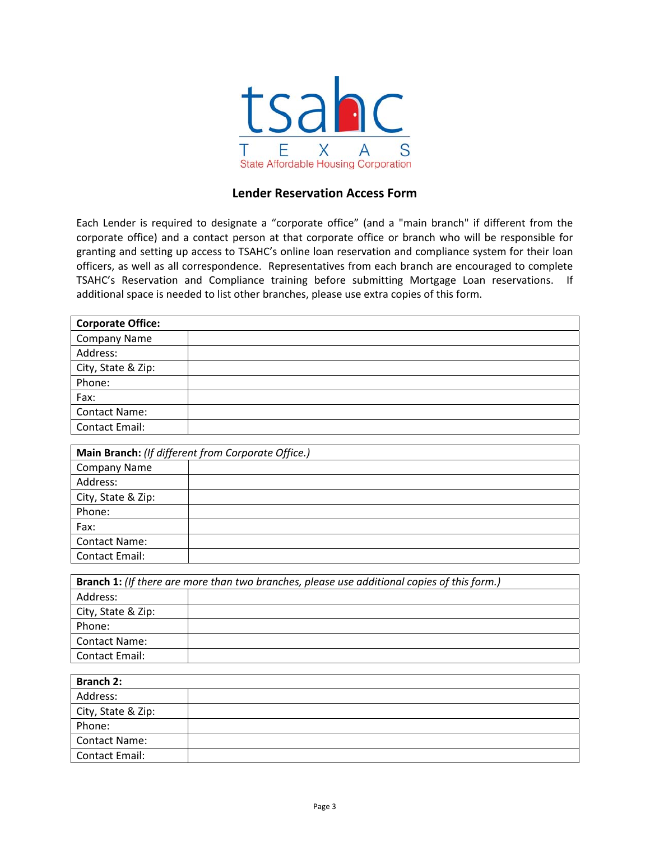

## **Lender Reservation Access Form**

Each Lender is required to designate a "corporate office" (and a "main branch" if different from the corporate office) and a contact person at that corporate office or branch who will be responsible for granting and setting up access to TSAHC's online loan reservation and compliance system for their loan officers, as well as all correspondence. Representatives from each branch are encouraged to complete TSAHC's Reservation and Compliance training before submitting Mortgage Loan reservations. If additional space is needed to list other branches, please use extra copies of this form.

| <b>Corporate Office:</b>                                                                    |                                                    |  |
|---------------------------------------------------------------------------------------------|----------------------------------------------------|--|
| <b>Company Name</b>                                                                         |                                                    |  |
| Address:                                                                                    |                                                    |  |
| City, State & Zip:                                                                          |                                                    |  |
| Phone:                                                                                      |                                                    |  |
| Fax:                                                                                        |                                                    |  |
| <b>Contact Name:</b>                                                                        |                                                    |  |
| <b>Contact Email:</b>                                                                       |                                                    |  |
|                                                                                             |                                                    |  |
|                                                                                             | Main Branch: (If different from Corporate Office.) |  |
| <b>Company Name</b>                                                                         |                                                    |  |
| Address:                                                                                    |                                                    |  |
| City, State & Zip:                                                                          |                                                    |  |
| Phone:                                                                                      |                                                    |  |
| Fax:                                                                                        |                                                    |  |
| <b>Contact Name:</b>                                                                        |                                                    |  |
| <b>Contact Email:</b>                                                                       |                                                    |  |
|                                                                                             |                                                    |  |
| Branch 1: (If there are more than two branches, please use additional copies of this form.) |                                                    |  |
| Address:                                                                                    |                                                    |  |
| City, State & Zip:                                                                          |                                                    |  |
| Phone:                                                                                      |                                                    |  |
| <b>Contact Name:</b>                                                                        |                                                    |  |
| <b>Contact Email:</b>                                                                       |                                                    |  |
|                                                                                             |                                                    |  |
| <b>Branch 2:</b>                                                                            |                                                    |  |

| Branch 2:            |  |
|----------------------|--|
| Address:             |  |
| City, State & Zip:   |  |
| Phone:               |  |
| <b>Contact Name:</b> |  |
| Contact Email:       |  |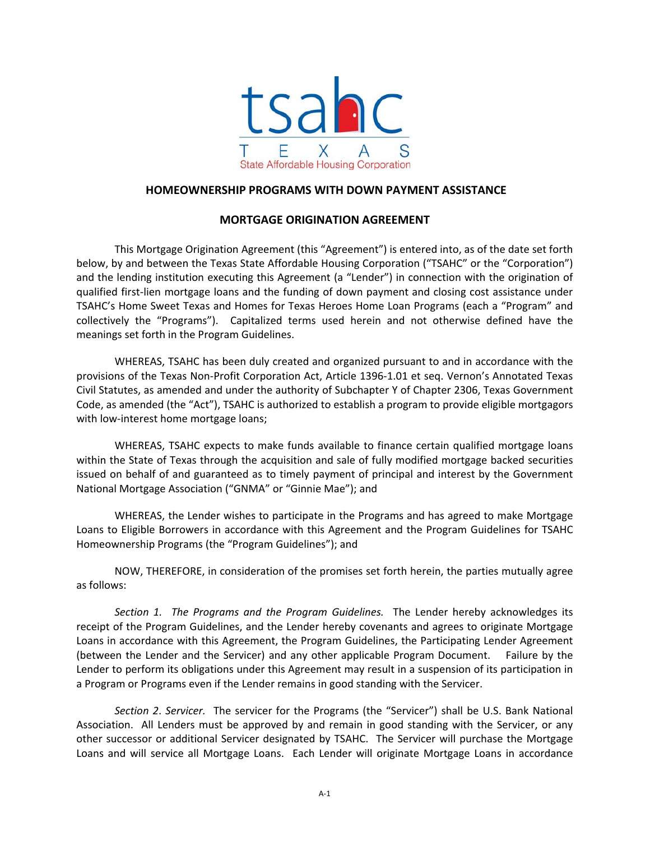

#### **HOMEOWNERSHIP PROGRAMS WITH DOWN PAYMENT ASSISTANCE**

### **MORTGAGE ORIGINATION AGREEMENT**

This Mortgage Origination Agreement (this "Agreement") is entered into, as of the date set forth below, by and between the Texas State Affordable Housing Corporation ("TSAHC" or the "Corporation") and the lending institution executing this Agreement (a "Lender") in connection with the origination of qualified first‐lien mortgage loans and the funding of down payment and closing cost assistance under TSAHC's Home Sweet Texas and Homes for Texas Heroes Home Loan Programs (each a "Program" and collectively the "Programs"). Capitalized terms used herein and not otherwise defined have the meanings set forth in the Program Guidelines.

WHEREAS, TSAHC has been duly created and organized pursuant to and in accordance with the provisions of the Texas Non‐Profit Corporation Act, Article 1396‐1.01 et seq. Vernon's Annotated Texas Civil Statutes, as amended and under the authority of Subchapter Y of Chapter 2306, Texas Government Code, as amended (the "Act"), TSAHC is authorized to establish a program to provide eligible mortgagors with low-interest home mortgage loans;

WHEREAS, TSAHC expects to make funds available to finance certain qualified mortgage loans within the State of Texas through the acquisition and sale of fully modified mortgage backed securities issued on behalf of and guaranteed as to timely payment of principal and interest by the Government National Mortgage Association ("GNMA" or "Ginnie Mae"); and

WHEREAS, the Lender wishes to participate in the Programs and has agreed to make Mortgage Loans to Eligible Borrowers in accordance with this Agreement and the Program Guidelines for TSAHC Homeownership Programs (the "Program Guidelines"); and

NOW, THEREFORE, in consideration of the promises set forth herein, the parties mutually agree as follows:

*Section 1. The Programs and the Program Guidelines.*  The Lender hereby acknowledges its receipt of the Program Guidelines, and the Lender hereby covenants and agrees to originate Mortgage Loans in accordance with this Agreement, the Program Guidelines, the Participating Lender Agreement (between the Lender and the Servicer) and any other applicable Program Document. Failure by the Lender to perform its obligations under this Agreement may result in a suspension of its participation in a Program or Programs even if the Lender remains in good standing with the Servicer.

*Section 2*. *Servicer.* The servicer for the Programs (the "Servicer") shall be U.S. Bank National Association. All Lenders must be approved by and remain in good standing with the Servicer, or any other successor or additional Servicer designated by TSAHC. The Servicer will purchase the Mortgage Loans and will service all Mortgage Loans. Each Lender will originate Mortgage Loans in accordance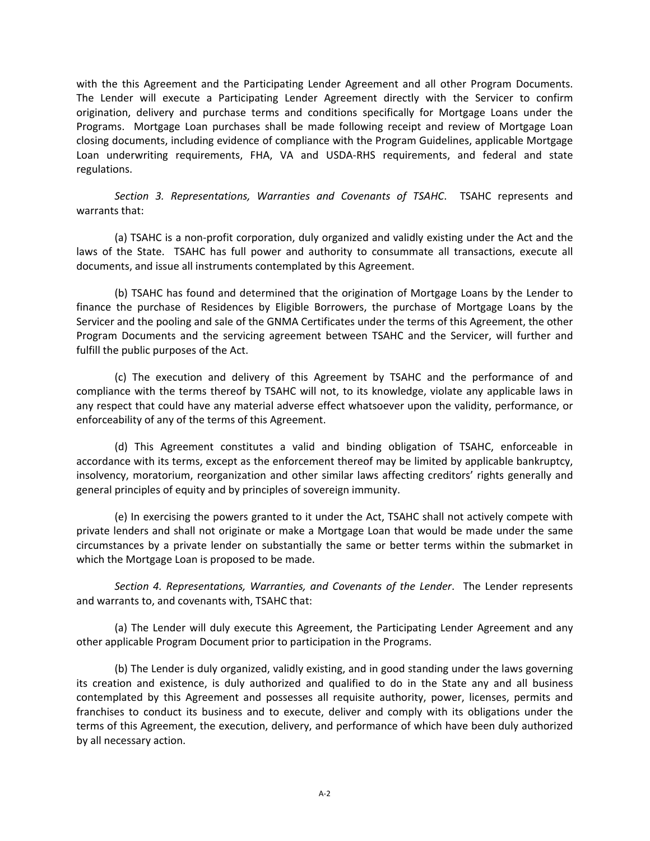with the this Agreement and the Participating Lender Agreement and all other Program Documents. The Lender will execute a Participating Lender Agreement directly with the Servicer to confirm origination, delivery and purchase terms and conditions specifically for Mortgage Loans under the Programs. Mortgage Loan purchases shall be made following receipt and review of Mortgage Loan closing documents, including evidence of compliance with the Program Guidelines, applicable Mortgage Loan underwriting requirements, FHA, VA and USDA-RHS requirements, and federal and state regulations.

*Section 3. Representations, Warranties and Covenants of TSAHC*. TSAHC represents and warrants that:

(a) TSAHC is a non‐profit corporation, duly organized and validly existing under the Act and the laws of the State. TSAHC has full power and authority to consummate all transactions, execute all documents, and issue all instruments contemplated by this Agreement.

(b) TSAHC has found and determined that the origination of Mortgage Loans by the Lender to finance the purchase of Residences by Eligible Borrowers, the purchase of Mortgage Loans by the Servicer and the pooling and sale of the GNMA Certificates under the terms of this Agreement, the other Program Documents and the servicing agreement between TSAHC and the Servicer, will further and fulfill the public purposes of the Act.

(c) The execution and delivery of this Agreement by TSAHC and the performance of and compliance with the terms thereof by TSAHC will not, to its knowledge, violate any applicable laws in any respect that could have any material adverse effect whatsoever upon the validity, performance, or enforceability of any of the terms of this Agreement.

(d) This Agreement constitutes a valid and binding obligation of TSAHC, enforceable in accordance with its terms, except as the enforcement thereof may be limited by applicable bankruptcy, insolvency, moratorium, reorganization and other similar laws affecting creditors' rights generally and general principles of equity and by principles of sovereign immunity.

(e) In exercising the powers granted to it under the Act, TSAHC shall not actively compete with private lenders and shall not originate or make a Mortgage Loan that would be made under the same circumstances by a private lender on substantially the same or better terms within the submarket in which the Mortgage Loan is proposed to be made.

*Section 4. Representations, Warranties, and Covenants of the Lender*. The Lender represents and warrants to, and covenants with, TSAHC that:

(a) The Lender will duly execute this Agreement, the Participating Lender Agreement and any other applicable Program Document prior to participation in the Programs.

(b) The Lender is duly organized, validly existing, and in good standing under the laws governing its creation and existence, is duly authorized and qualified to do in the State any and all business contemplated by this Agreement and possesses all requisite authority, power, licenses, permits and franchises to conduct its business and to execute, deliver and comply with its obligations under the terms of this Agreement, the execution, delivery, and performance of which have been duly authorized by all necessary action.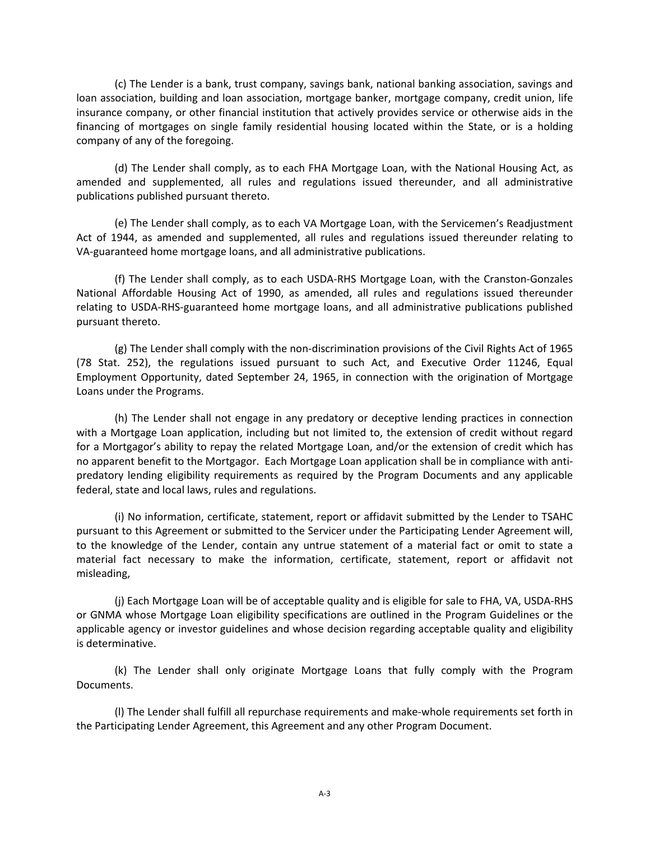(c) The Lender is a bank, trust company, savings bank, national banking association, savings and loan association, building and loan association, mortgage banker, mortgage company, credit union, life insurance company, or other financial institution that actively provides service or otherwise aids in the financing of mortgages on single family residential housing located within the State, or is a holding company of any of the foregoing.

(d) The Lender shall comply, as to each FHA Mortgage Loan, with the National Housing Act, as amended and supplemented, all rules and regulations issued thereunder, and all administrative publications published pursuant thereto.

(e) The Lender shall comply, as to each VA Mortgage Loan, with the Servicemen's Readjustment Act of 1944, as amended and supplemented, all rules and regulations issued thereunder relating to VA‐guaranteed home mortgage loans, and all administrative publications.

(f) The Lender shall comply, as to each USDA‐RHS Mortgage Loan, with the Cranston‐Gonzales National Affordable Housing Act of 1990, as amended, all rules and regulations issued thereunder relating to USDA‐RHS‐guaranteed home mortgage loans, and all administrative publications published pursuant thereto.

(g) The Lender shall comply with the non‐discrimination provisions of the Civil Rights Act of 1965 (78 Stat. 252), the regulations issued pursuant to such Act, and Executive Order 11246, Equal Employment Opportunity, dated September 24, 1965, in connection with the origination of Mortgage Loans under the Programs.

(h) The Lender shall not engage in any predatory or deceptive lending practices in connection with a Mortgage Loan application, including but not limited to, the extension of credit without regard for a Mortgagor's ability to repay the related Mortgage Loan, and/or the extension of credit which has no apparent benefit to the Mortgagor. Each Mortgage Loan application shall be in compliance with anti‐ predatory lending eligibility requirements as required by the Program Documents and any applicable federal, state and local laws, rules and regulations.

(i) No information, certificate, statement, report or affidavit submitted by the Lender to TSAHC pursuant to this Agreement or submitted to the Servicer under the Participating Lender Agreement will, to the knowledge of the Lender, contain any untrue statement of a material fact or omit to state a material fact necessary to make the information, certificate, statement, report or affidavit not misleading,

(j) Each Mortgage Loan will be of acceptable quality and is eligible for sale to FHA, VA, USDA‐RHS or GNMA whose Mortgage Loan eligibility specifications are outlined in the Program Guidelines or the applicable agency or investor guidelines and whose decision regarding acceptable quality and eligibility is determinative.

(k) The Lender shall only originate Mortgage Loans that fully comply with the Program Documents.

(l) The Lender shall fulfill all repurchase requirements and make‐whole requirements set forth in the Participating Lender Agreement, this Agreement and any other Program Document.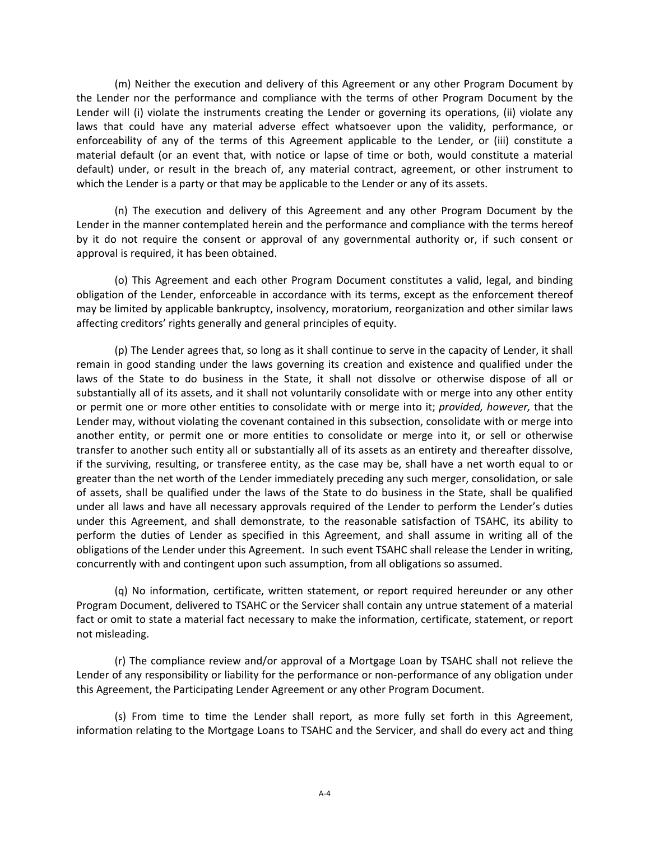(m) Neither the execution and delivery of this Agreement or any other Program Document by the Lender nor the performance and compliance with the terms of other Program Document by the Lender will (i) violate the instruments creating the Lender or governing its operations, (ii) violate any laws that could have any material adverse effect whatsoever upon the validity, performance, or enforceability of any of the terms of this Agreement applicable to the Lender, or (iii) constitute a material default (or an event that, with notice or lapse of time or both, would constitute a material default) under, or result in the breach of, any material contract, agreement, or other instrument to which the Lender is a party or that may be applicable to the Lender or any of its assets.

(n) The execution and delivery of this Agreement and any other Program Document by the Lender in the manner contemplated herein and the performance and compliance with the terms hereof by it do not require the consent or approval of any governmental authority or, if such consent or approval is required, it has been obtained.

(o) This Agreement and each other Program Document constitutes a valid, legal, and binding obligation of the Lender, enforceable in accordance with its terms, except as the enforcement thereof may be limited by applicable bankruptcy, insolvency, moratorium, reorganization and other similar laws affecting creditors' rights generally and general principles of equity.

(p) The Lender agrees that, so long as it shall continue to serve in the capacity of Lender, it shall remain in good standing under the laws governing its creation and existence and qualified under the laws of the State to do business in the State, it shall not dissolve or otherwise dispose of all or substantially all of its assets, and it shall not voluntarily consolidate with or merge into any other entity or permit one or more other entities to consolidate with or merge into it; *provided, however,* that the Lender may, without violating the covenant contained in this subsection, consolidate with or merge into another entity, or permit one or more entities to consolidate or merge into it, or sell or otherwise transfer to another such entity all or substantially all of its assets as an entirety and thereafter dissolve, if the surviving, resulting, or transferee entity, as the case may be, shall have a net worth equal to or greater than the net worth of the Lender immediately preceding any such merger, consolidation, or sale of assets, shall be qualified under the laws of the State to do business in the State, shall be qualified under all laws and have all necessary approvals required of the Lender to perform the Lender's duties under this Agreement, and shall demonstrate, to the reasonable satisfaction of TSAHC, its ability to perform the duties of Lender as specified in this Agreement, and shall assume in writing all of the obligations of the Lender under this Agreement. In such event TSAHC shall release the Lender in writing, concurrently with and contingent upon such assumption, from all obligations so assumed.

(q) No information, certificate, written statement, or report required hereunder or any other Program Document, delivered to TSAHC or the Servicer shall contain any untrue statement of a material fact or omit to state a material fact necessary to make the information, certificate, statement, or report not misleading.

(r) The compliance review and/or approval of a Mortgage Loan by TSAHC shall not relieve the Lender of any responsibility or liability for the performance or non‐performance of any obligation under this Agreement, the Participating Lender Agreement or any other Program Document.

(s) From time to time the Lender shall report, as more fully set forth in this Agreement, information relating to the Mortgage Loans to TSAHC and the Servicer, and shall do every act and thing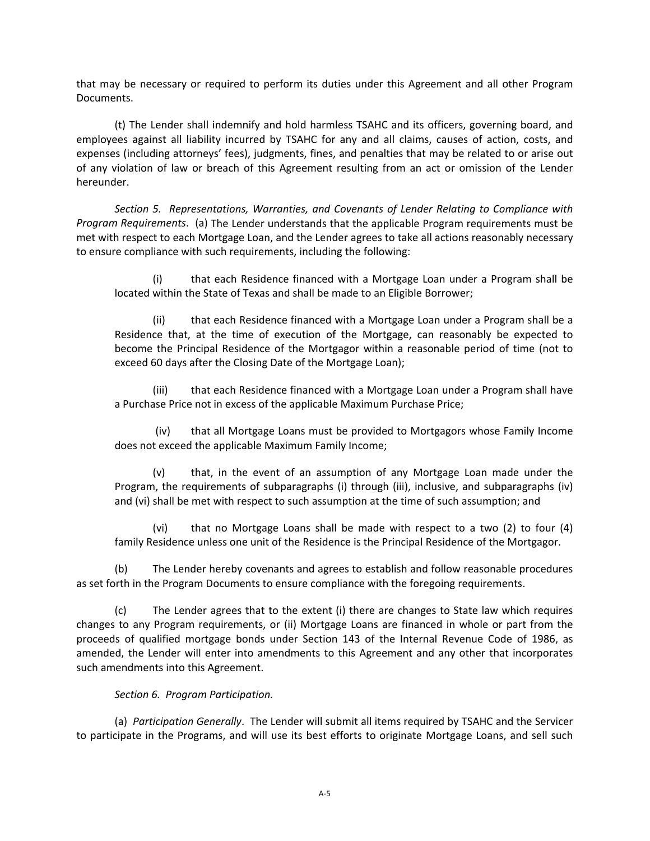that may be necessary or required to perform its duties under this Agreement and all other Program Documents.

(t) The Lender shall indemnify and hold harmless TSAHC and its officers, governing board, and employees against all liability incurred by TSAHC for any and all claims, causes of action, costs, and expenses (including attorneys' fees), judgments, fines, and penalties that may be related to or arise out of any violation of law or breach of this Agreement resulting from an act or omission of the Lender hereunder.

*Section 5. Representations, Warranties, and Covenants of Lender Relating to Compliance with Program Requirements*. (a) The Lender understands that the applicable Program requirements must be met with respect to each Mortgage Loan, and the Lender agrees to take all actions reasonably necessary to ensure compliance with such requirements, including the following:

(i) that each Residence financed with a Mortgage Loan under a Program shall be located within the State of Texas and shall be made to an Eligible Borrower;

(ii) that each Residence financed with a Mortgage Loan under a Program shall be a Residence that, at the time of execution of the Mortgage, can reasonably be expected to become the Principal Residence of the Mortgagor within a reasonable period of time (not to exceed 60 days after the Closing Date of the Mortgage Loan);

(iii) that each Residence financed with a Mortgage Loan under a Program shall have a Purchase Price not in excess of the applicable Maximum Purchase Price;

(iv) that all Mortgage Loans must be provided to Mortgagors whose Family Income does not exceed the applicable Maximum Family Income;

(v) that, in the event of an assumption of any Mortgage Loan made under the Program, the requirements of subparagraphs (i) through (iii), inclusive, and subparagraphs (iv) and (vi) shall be met with respect to such assumption at the time of such assumption; and

(vi) that no Mortgage Loans shall be made with respect to a two (2) to four (4) family Residence unless one unit of the Residence is the Principal Residence of the Mortgagor.

(b) The Lender hereby covenants and agrees to establish and follow reasonable procedures as set forth in the Program Documents to ensure compliance with the foregoing requirements.

(c) The Lender agrees that to the extent (i) there are changes to State law which requires changes to any Program requirements, or (ii) Mortgage Loans are financed in whole or part from the proceeds of qualified mortgage bonds under Section 143 of the Internal Revenue Code of 1986, as amended, the Lender will enter into amendments to this Agreement and any other that incorporates such amendments into this Agreement.

#### *Section 6. Program Participation.*

(a) *Participation Generally*. The Lender will submit all items required by TSAHC and the Servicer to participate in the Programs, and will use its best efforts to originate Mortgage Loans, and sell such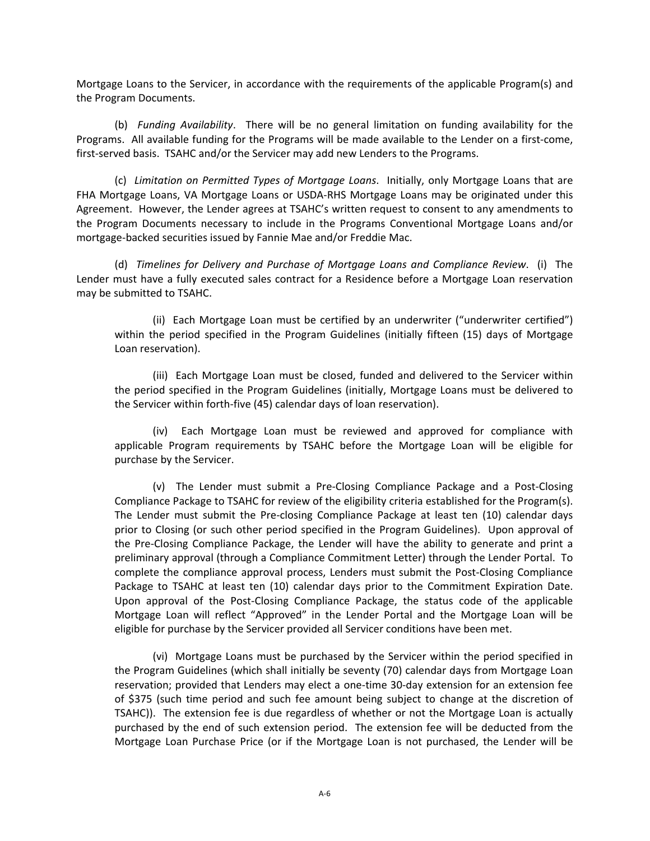Mortgage Loans to the Servicer, in accordance with the requirements of the applicable Program(s) and the Program Documents.

(b) *Funding Availability*. There will be no general limitation on funding availability for the Programs. All available funding for the Programs will be made available to the Lender on a first-come, first-served basis. TSAHC and/or the Servicer may add new Lenders to the Programs.

(c) *Limitation on Permitted Types of Mortgage Loans*. Initially, only Mortgage Loans that are FHA Mortgage Loans, VA Mortgage Loans or USDA‐RHS Mortgage Loans may be originated under this Agreement. However, the Lender agrees at TSAHC's written request to consent to any amendments to the Program Documents necessary to include in the Programs Conventional Mortgage Loans and/or mortgage‐backed securities issued by Fannie Mae and/or Freddie Mac.

(d) *Timelines for Delivery and Purchase of Mortgage Loans and Compliance Review*. (i) The Lender must have a fully executed sales contract for a Residence before a Mortgage Loan reservation may be submitted to TSAHC.

(ii) Each Mortgage Loan must be certified by an underwriter ("underwriter certified") within the period specified in the Program Guidelines (initially fifteen (15) days of Mortgage Loan reservation).

(iii) Each Mortgage Loan must be closed, funded and delivered to the Servicer within the period specified in the Program Guidelines (initially, Mortgage Loans must be delivered to the Servicer within forth‐five (45) calendar days of loan reservation).

(iv) Each Mortgage Loan must be reviewed and approved for compliance with applicable Program requirements by TSAHC before the Mortgage Loan will be eligible for purchase by the Servicer.

(v) The Lender must submit a Pre‐Closing Compliance Package and a Post‐Closing Compliance Package to TSAHC for review of the eligibility criteria established for the Program(s). The Lender must submit the Pre‐closing Compliance Package at least ten (10) calendar days prior to Closing (or such other period specified in the Program Guidelines). Upon approval of the Pre‐Closing Compliance Package, the Lender will have the ability to generate and print a preliminary approval (through a Compliance Commitment Letter) through the Lender Portal. To complete the compliance approval process, Lenders must submit the Post‐Closing Compliance Package to TSAHC at least ten (10) calendar days prior to the Commitment Expiration Date. Upon approval of the Post‐Closing Compliance Package, the status code of the applicable Mortgage Loan will reflect "Approved" in the Lender Portal and the Mortgage Loan will be eligible for purchase by the Servicer provided all Servicer conditions have been met.

(vi) Mortgage Loans must be purchased by the Servicer within the period specified in the Program Guidelines (which shall initially be seventy (70) calendar days from Mortgage Loan reservation; provided that Lenders may elect a one‐time 30‐day extension for an extension fee of \$375 (such time period and such fee amount being subject to change at the discretion of TSAHC)). The extension fee is due regardless of whether or not the Mortgage Loan is actually purchased by the end of such extension period. The extension fee will be deducted from the Mortgage Loan Purchase Price (or if the Mortgage Loan is not purchased, the Lender will be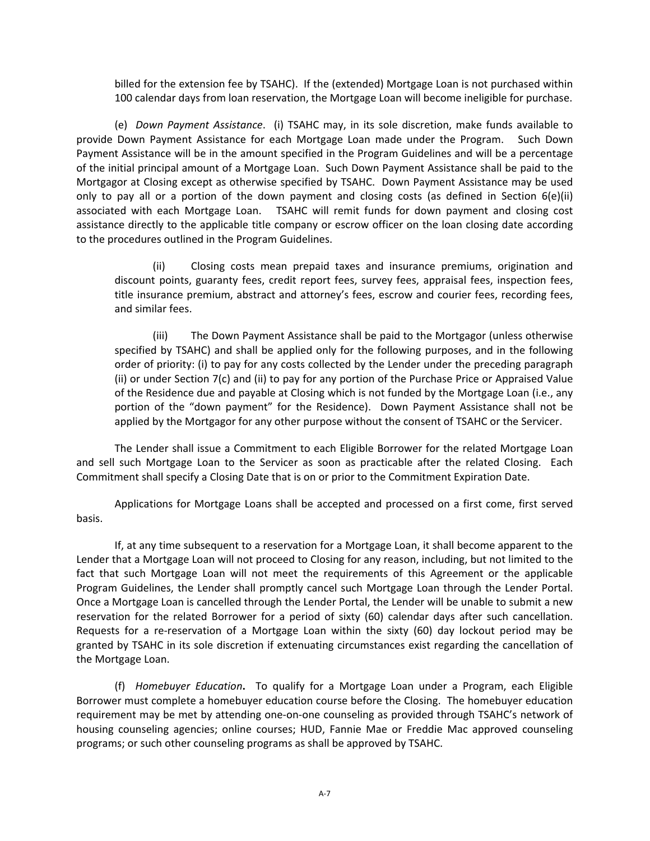billed for the extension fee by TSAHC). If the (extended) Mortgage Loan is not purchased within 100 calendar days from loan reservation, the Mortgage Loan will become ineligible for purchase.

(e) *Down Payment Assistance*. (i) TSAHC may, in its sole discretion, make funds available to provide Down Payment Assistance for each Mortgage Loan made under the Program. Such Down Payment Assistance will be in the amount specified in the Program Guidelines and will be a percentage of the initial principal amount of a Mortgage Loan. Such Down Payment Assistance shall be paid to the Mortgagor at Closing except as otherwise specified by TSAHC. Down Payment Assistance may be used only to pay all or a portion of the down payment and closing costs (as defined in Section 6(e)(ii) associated with each Mortgage Loan. TSAHC will remit funds for down payment and closing cost assistance directly to the applicable title company or escrow officer on the loan closing date according to the procedures outlined in the Program Guidelines.

(ii) Closing costs mean prepaid taxes and insurance premiums, origination and discount points, guaranty fees, credit report fees, survey fees, appraisal fees, inspection fees, title insurance premium, abstract and attorney's fees, escrow and courier fees, recording fees, and similar fees.

(iii) The Down Payment Assistance shall be paid to the Mortgagor (unless otherwise specified by TSAHC) and shall be applied only for the following purposes, and in the following order of priority: (i) to pay for any costs collected by the Lender under the preceding paragraph (ii) or under Section 7(c) and (ii) to pay for any portion of the Purchase Price or Appraised Value of the Residence due and payable at Closing which is not funded by the Mortgage Loan (i.e., any portion of the "down payment" for the Residence). Down Payment Assistance shall not be applied by the Mortgagor for any other purpose without the consent of TSAHC or the Servicer.

The Lender shall issue a Commitment to each Eligible Borrower for the related Mortgage Loan and sell such Mortgage Loan to the Servicer as soon as practicable after the related Closing. Each Commitment shall specify a Closing Date that is on or prior to the Commitment Expiration Date.

Applications for Mortgage Loans shall be accepted and processed on a first come, first served basis.

If, at any time subsequent to a reservation for a Mortgage Loan, it shall become apparent to the Lender that a Mortgage Loan will not proceed to Closing for any reason, including, but not limited to the fact that such Mortgage Loan will not meet the requirements of this Agreement or the applicable Program Guidelines, the Lender shall promptly cancel such Mortgage Loan through the Lender Portal. Once a Mortgage Loan is cancelled through the Lender Portal, the Lender will be unable to submit a new reservation for the related Borrower for a period of sixty (60) calendar days after such cancellation. Requests for a re-reservation of a Mortgage Loan within the sixty (60) day lockout period may be granted by TSAHC in its sole discretion if extenuating circumstances exist regarding the cancellation of the Mortgage Loan.

(f) *Homebuyer Education***.** To qualify for a Mortgage Loan under a Program, each Eligible Borrower must complete a homebuyer education course before the Closing. The homebuyer education requirement may be met by attending one‐on‐one counseling as provided through TSAHC's network of housing counseling agencies; online courses; HUD, Fannie Mae or Freddie Mac approved counseling programs; or such other counseling programs as shall be approved by TSAHC.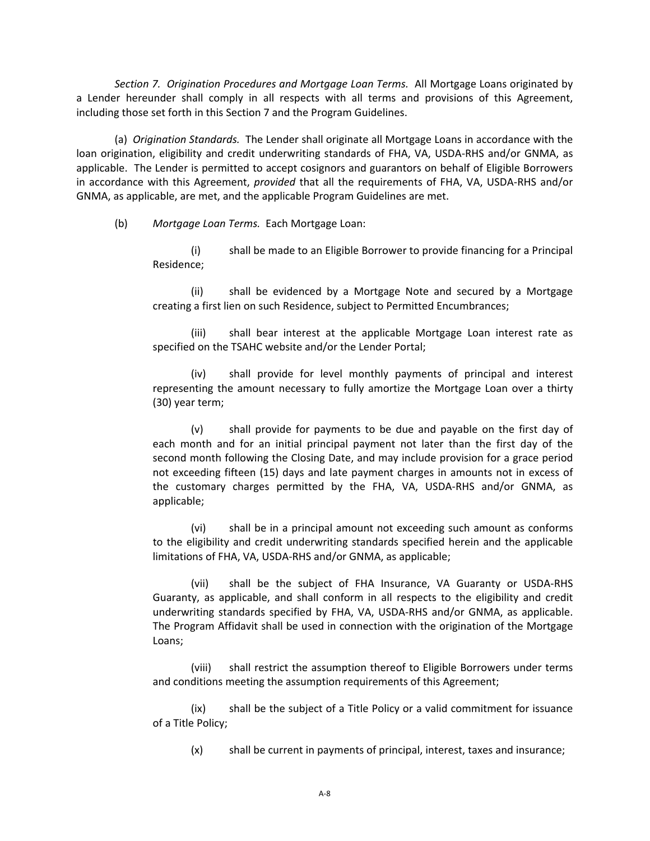*Section 7. Origination Procedures and Mortgage Loan Terms.* All Mortgage Loans originated by a Lender hereunder shall comply in all respects with all terms and provisions of this Agreement, including those set forth in this Section 7 and the Program Guidelines.

(a) *Origination Standards.* The Lender shall originate all Mortgage Loans in accordance with the loan origination, eligibility and credit underwriting standards of FHA, VA, USDA‐RHS and/or GNMA, as applicable. The Lender is permitted to accept cosignors and guarantors on behalf of Eligible Borrowers in accordance with this Agreement, *provided* that all the requirements of FHA, VA, USDA‐RHS and/or GNMA, as applicable, are met, and the applicable Program Guidelines are met.

(b) *Mortgage Loan Terms.* Each Mortgage Loan:

(i) shall be made to an Eligible Borrower to provide financing for a Principal Residence;

(ii) shall be evidenced by a Mortgage Note and secured by a Mortgage creating a first lien on such Residence, subject to Permitted Encumbrances;

shall bear interest at the applicable Mortgage Loan interest rate as specified on the TSAHC website and/or the Lender Portal;

(iv) shall provide for level monthly payments of principal and interest representing the amount necessary to fully amortize the Mortgage Loan over a thirty (30) year term;

(v) shall provide for payments to be due and payable on the first day of each month and for an initial principal payment not later than the first day of the second month following the Closing Date, and may include provision for a grace period not exceeding fifteen (15) days and late payment charges in amounts not in excess of the customary charges permitted by the FHA, VA, USDA‐RHS and/or GNMA, as applicable;

(vi) shall be in a principal amount not exceeding such amount as conforms to the eligibility and credit underwriting standards specified herein and the applicable limitations of FHA, VA, USDA‐RHS and/or GNMA, as applicable;

(vii) shall be the subject of FHA Insurance, VA Guaranty or USDA‐RHS Guaranty, as applicable, and shall conform in all respects to the eligibility and credit underwriting standards specified by FHA, VA, USDA‐RHS and/or GNMA, as applicable. The Program Affidavit shall be used in connection with the origination of the Mortgage Loans;

(viii) shall restrict the assumption thereof to Eligible Borrowers under terms and conditions meeting the assumption requirements of this Agreement;

(ix) shall be the subject of a Title Policy or a valid commitment for issuance of a Title Policy;

(x) shall be current in payments of principal, interest, taxes and insurance;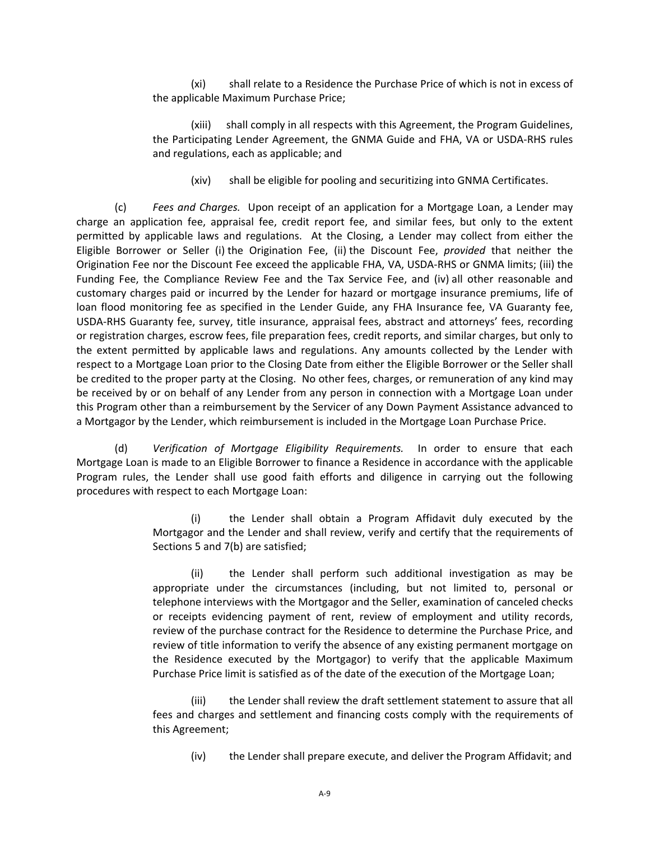(xi) shall relate to a Residence the Purchase Price of which is not in excess of the applicable Maximum Purchase Price;

(xiii) shall comply in all respects with this Agreement, the Program Guidelines, the Participating Lender Agreement, the GNMA Guide and FHA, VA or USDA‐RHS rules and regulations, each as applicable; and

(xiv) shall be eligible for pooling and securitizing into GNMA Certificates.

(c) *Fees and Charges.* Upon receipt of an application for a Mortgage Loan, a Lender may charge an application fee, appraisal fee, credit report fee, and similar fees, but only to the extent permitted by applicable laws and regulations. At the Closing, a Lender may collect from either the Eligible Borrower or Seller (i) the Origination Fee, (ii) the Discount Fee, *provided* that neither the Origination Fee nor the Discount Fee exceed the applicable FHA, VA, USDA‐RHS or GNMA limits; (iii) the Funding Fee, the Compliance Review Fee and the Tax Service Fee, and (iv) all other reasonable and customary charges paid or incurred by the Lender for hazard or mortgage insurance premiums, life of loan flood monitoring fee as specified in the Lender Guide, any FHA Insurance fee, VA Guaranty fee, USDA‐RHS Guaranty fee, survey, title insurance, appraisal fees, abstract and attorneys' fees, recording or registration charges, escrow fees, file preparation fees, credit reports, and similar charges, but only to the extent permitted by applicable laws and regulations. Any amounts collected by the Lender with respect to a Mortgage Loan prior to the Closing Date from either the Eligible Borrower or the Seller shall be credited to the proper party at the Closing. No other fees, charges, or remuneration of any kind may be received by or on behalf of any Lender from any person in connection with a Mortgage Loan under this Program other than a reimbursement by the Servicer of any Down Payment Assistance advanced to a Mortgagor by the Lender, which reimbursement is included in the Mortgage Loan Purchase Price.

(d) *Verification of Mortgage Eligibility Requirements.* In order to ensure that each Mortgage Loan is made to an Eligible Borrower to finance a Residence in accordance with the applicable Program rules, the Lender shall use good faith efforts and diligence in carrying out the following procedures with respect to each Mortgage Loan:

> (i) the Lender shall obtain a Program Affidavit duly executed by the Mortgagor and the Lender and shall review, verify and certify that the requirements of Sections 5 and 7(b) are satisfied;

> (ii) the Lender shall perform such additional investigation as may be appropriate under the circumstances (including, but not limited to, personal or telephone interviews with the Mortgagor and the Seller, examination of canceled checks or receipts evidencing payment of rent, review of employment and utility records, review of the purchase contract for the Residence to determine the Purchase Price, and review of title information to verify the absence of any existing permanent mortgage on the Residence executed by the Mortgagor) to verify that the applicable Maximum Purchase Price limit is satisfied as of the date of the execution of the Mortgage Loan;

> (iii) the Lender shall review the draft settlement statement to assure that all fees and charges and settlement and financing costs comply with the requirements of this Agreement;

(iv) the Lender shall prepare execute, and deliver the Program Affidavit; and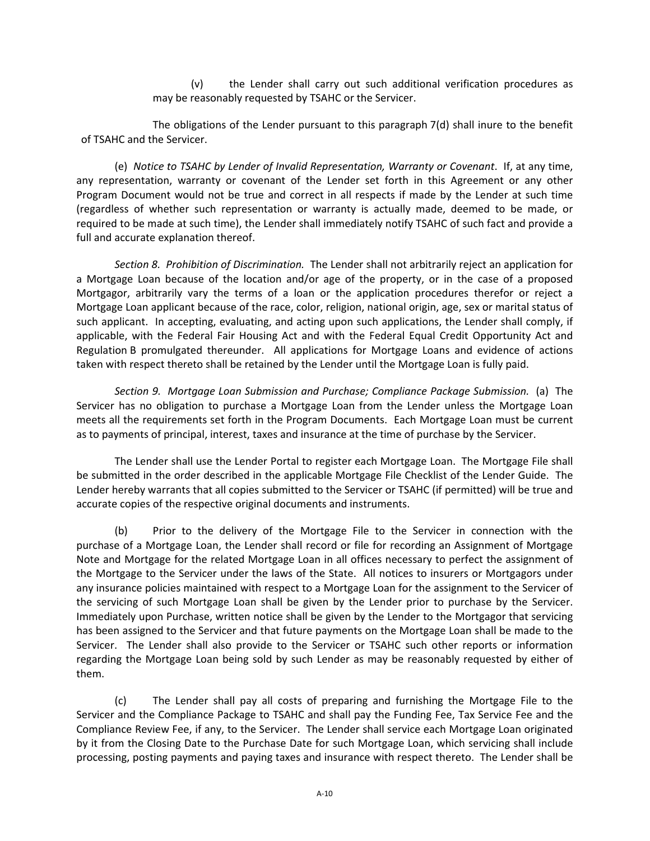(v) the Lender shall carry out such additional verification procedures as may be reasonably requested by TSAHC or the Servicer.

The obligations of the Lender pursuant to this paragraph 7(d) shall inure to the benefit of TSAHC and the Servicer.

(e) *Notice to TSAHC by Lender of Invalid Representation, Warranty or Covenant*. If, at any time, any representation, warranty or covenant of the Lender set forth in this Agreement or any other Program Document would not be true and correct in all respects if made by the Lender at such time (regardless of whether such representation or warranty is actually made, deemed to be made, or required to be made at such time), the Lender shall immediately notify TSAHC of such fact and provide a full and accurate explanation thereof.

*Section 8. Prohibition of Discrimination.* The Lender shall not arbitrarily reject an application for a Mortgage Loan because of the location and/or age of the property, or in the case of a proposed Mortgagor, arbitrarily vary the terms of a loan or the application procedures therefor or reject a Mortgage Loan applicant because of the race, color, religion, national origin, age, sex or marital status of such applicant. In accepting, evaluating, and acting upon such applications, the Lender shall comply, if applicable, with the Federal Fair Housing Act and with the Federal Equal Credit Opportunity Act and Regulation B promulgated thereunder. All applications for Mortgage Loans and evidence of actions taken with respect thereto shall be retained by the Lender until the Mortgage Loan is fully paid.

*Section 9. Mortgage Loan Submission and Purchase; Compliance Package Submission.* (a) The Servicer has no obligation to purchase a Mortgage Loan from the Lender unless the Mortgage Loan meets all the requirements set forth in the Program Documents. Each Mortgage Loan must be current as to payments of principal, interest, taxes and insurance at the time of purchase by the Servicer.

The Lender shall use the Lender Portal to register each Mortgage Loan. The Mortgage File shall be submitted in the order described in the applicable Mortgage File Checklist of the Lender Guide. The Lender hereby warrants that all copies submitted to the Servicer or TSAHC (if permitted) will be true and accurate copies of the respective original documents and instruments.

(b) Prior to the delivery of the Mortgage File to the Servicer in connection with the purchase of a Mortgage Loan, the Lender shall record or file for recording an Assignment of Mortgage Note and Mortgage for the related Mortgage Loan in all offices necessary to perfect the assignment of the Mortgage to the Servicer under the laws of the State. All notices to insurers or Mortgagors under any insurance policies maintained with respect to a Mortgage Loan for the assignment to the Servicer of the servicing of such Mortgage Loan shall be given by the Lender prior to purchase by the Servicer. Immediately upon Purchase, written notice shall be given by the Lender to the Mortgagor that servicing has been assigned to the Servicer and that future payments on the Mortgage Loan shall be made to the Servicer. The Lender shall also provide to the Servicer or TSAHC such other reports or information regarding the Mortgage Loan being sold by such Lender as may be reasonably requested by either of them.

(c) The Lender shall pay all costs of preparing and furnishing the Mortgage File to the Servicer and the Compliance Package to TSAHC and shall pay the Funding Fee, Tax Service Fee and the Compliance Review Fee, if any, to the Servicer. The Lender shall service each Mortgage Loan originated by it from the Closing Date to the Purchase Date for such Mortgage Loan, which servicing shall include processing, posting payments and paying taxes and insurance with respect thereto. The Lender shall be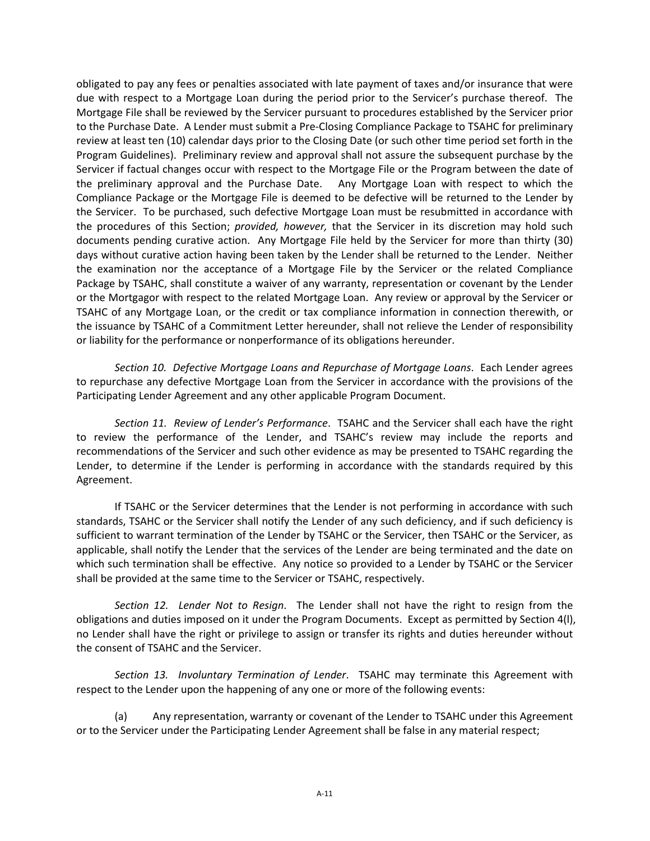obligated to pay any fees or penalties associated with late payment of taxes and/or insurance that were due with respect to a Mortgage Loan during the period prior to the Servicer's purchase thereof. The Mortgage File shall be reviewed by the Servicer pursuant to procedures established by the Servicer prior to the Purchase Date. A Lender must submit a Pre‐Closing Compliance Package to TSAHC for preliminary review at least ten (10) calendar days prior to the Closing Date (or such other time period set forth in the Program Guidelines). Preliminary review and approval shall not assure the subsequent purchase by the Servicer if factual changes occur with respect to the Mortgage File or the Program between the date of the preliminary approval and the Purchase Date. Any Mortgage Loan with respect to which the Compliance Package or the Mortgage File is deemed to be defective will be returned to the Lender by the Servicer. To be purchased, such defective Mortgage Loan must be resubmitted in accordance with the procedures of this Section; *provided, however,* that the Servicer in its discretion may hold such documents pending curative action. Any Mortgage File held by the Servicer for more than thirty (30) days without curative action having been taken by the Lender shall be returned to the Lender. Neither the examination nor the acceptance of a Mortgage File by the Servicer or the related Compliance Package by TSAHC, shall constitute a waiver of any warranty, representation or covenant by the Lender or the Mortgagor with respect to the related Mortgage Loan. Any review or approval by the Servicer or TSAHC of any Mortgage Loan, or the credit or tax compliance information in connection therewith, or the issuance by TSAHC of a Commitment Letter hereunder, shall not relieve the Lender of responsibility or liability for the performance or nonperformance of its obligations hereunder.

*Section 10. Defective Mortgage Loans and Repurchase of Mortgage Loans*. Each Lender agrees to repurchase any defective Mortgage Loan from the Servicer in accordance with the provisions of the Participating Lender Agreement and any other applicable Program Document.

*Section 11. Review of Lender's Performance*. TSAHC and the Servicer shall each have the right to review the performance of the Lender, and TSAHC's review may include the reports and recommendations of the Servicer and such other evidence as may be presented to TSAHC regarding the Lender, to determine if the Lender is performing in accordance with the standards required by this Agreement.

If TSAHC or the Servicer determines that the Lender is not performing in accordance with such standards, TSAHC or the Servicer shall notify the Lender of any such deficiency, and if such deficiency is sufficient to warrant termination of the Lender by TSAHC or the Servicer, then TSAHC or the Servicer, as applicable, shall notify the Lender that the services of the Lender are being terminated and the date on which such termination shall be effective. Any notice so provided to a Lender by TSAHC or the Servicer shall be provided at the same time to the Servicer or TSAHC, respectively.

*Section 12. Lender Not to Resign*. The Lender shall not have the right to resign from the obligations and duties imposed on it under the Program Documents. Except as permitted by Section 4(l), no Lender shall have the right or privilege to assign or transfer its rights and duties hereunder without the consent of TSAHC and the Servicer.

*Section 13. Involuntary Termination of Lender*. TSAHC may terminate this Agreement with respect to the Lender upon the happening of any one or more of the following events:

(a) Any representation, warranty or covenant of the Lender to TSAHC under this Agreement or to the Servicer under the Participating Lender Agreement shall be false in any material respect;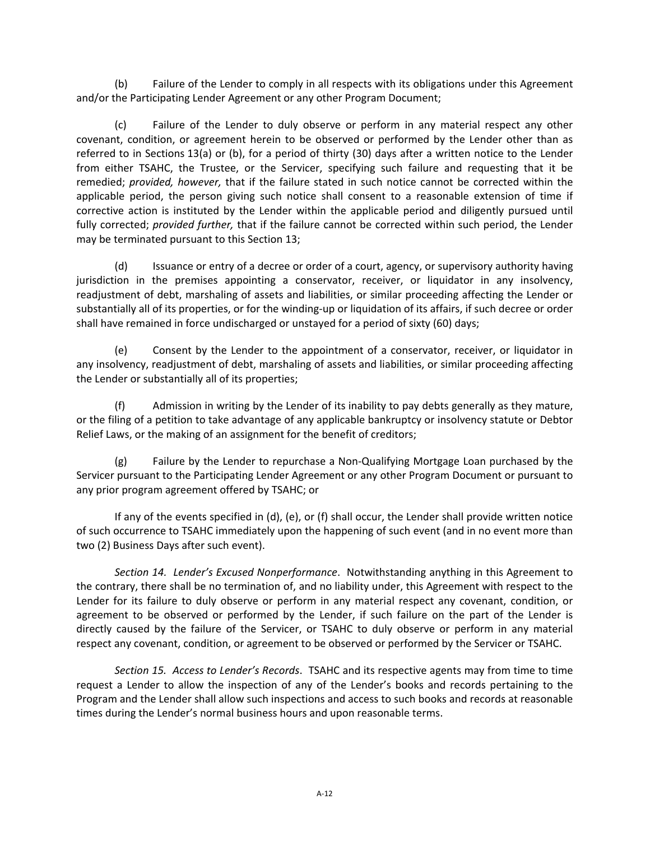(b) Failure of the Lender to comply in all respects with its obligations under this Agreement and/or the Participating Lender Agreement or any other Program Document;

(c) Failure of the Lender to duly observe or perform in any material respect any other covenant, condition, or agreement herein to be observed or performed by the Lender other than as referred to in Sections 13(a) or (b), for a period of thirty (30) days after a written notice to the Lender from either TSAHC, the Trustee, or the Servicer, specifying such failure and requesting that it be remedied; *provided, however,* that if the failure stated in such notice cannot be corrected within the applicable period, the person giving such notice shall consent to a reasonable extension of time if corrective action is instituted by the Lender within the applicable period and diligently pursued until fully corrected; *provided further,* that if the failure cannot be corrected within such period, the Lender may be terminated pursuant to this Section 13;

(d) Issuance or entry of a decree or order of a court, agency, or supervisory authority having jurisdiction in the premises appointing a conservator, receiver, or liquidator in any insolvency, readjustment of debt, marshaling of assets and liabilities, or similar proceeding affecting the Lender or substantially all of its properties, or for the winding-up or liquidation of its affairs, if such decree or order shall have remained in force undischarged or unstayed for a period of sixty (60) days;

(e) Consent by the Lender to the appointment of a conservator, receiver, or liquidator in any insolvency, readjustment of debt, marshaling of assets and liabilities, or similar proceeding affecting the Lender or substantially all of its properties;

(f) Admission in writing by the Lender of its inability to pay debts generally as they mature, or the filing of a petition to take advantage of any applicable bankruptcy or insolvency statute or Debtor Relief Laws, or the making of an assignment for the benefit of creditors;

(g) Failure by the Lender to repurchase a Non‐Qualifying Mortgage Loan purchased by the Servicer pursuant to the Participating Lender Agreement or any other Program Document or pursuant to any prior program agreement offered by TSAHC; or

If any of the events specified in (d), (e), or (f) shall occur, the Lender shall provide written notice of such occurrence to TSAHC immediately upon the happening of such event (and in no event more than two (2) Business Days after such event).

*Section 14. Lender's Excused Nonperformance*. Notwithstanding anything in this Agreement to the contrary, there shall be no termination of, and no liability under, this Agreement with respect to the Lender for its failure to duly observe or perform in any material respect any covenant, condition, or agreement to be observed or performed by the Lender, if such failure on the part of the Lender is directly caused by the failure of the Servicer, or TSAHC to duly observe or perform in any material respect any covenant, condition, or agreement to be observed or performed by the Servicer or TSAHC.

*Section 15. Access to Lender's Records*. TSAHC and its respective agents may from time to time request a Lender to allow the inspection of any of the Lender's books and records pertaining to the Program and the Lender shall allow such inspections and access to such books and records at reasonable times during the Lender's normal business hours and upon reasonable terms.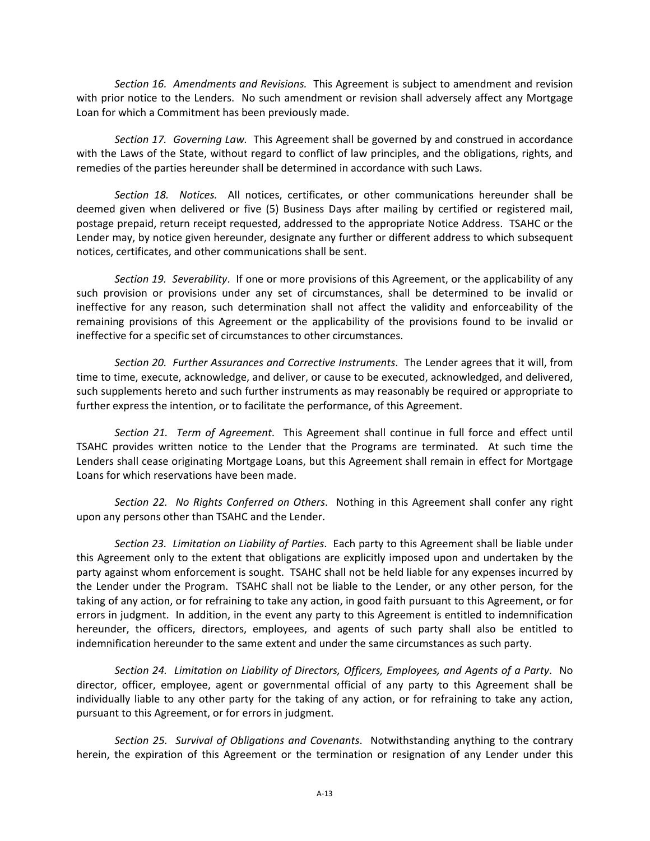*Section 16. Amendments and Revisions.* This Agreement is subject to amendment and revision with prior notice to the Lenders. No such amendment or revision shall adversely affect any Mortgage Loan for which a Commitment has been previously made.

*Section 17. Governing Law.* This Agreement shall be governed by and construed in accordance with the Laws of the State, without regard to conflict of law principles, and the obligations, rights, and remedies of the parties hereunder shall be determined in accordance with such Laws.

*Section 18. Notices.*  All notices, certificates, or other communications hereunder shall be deemed given when delivered or five (5) Business Days after mailing by certified or registered mail, postage prepaid, return receipt requested, addressed to the appropriate Notice Address. TSAHC or the Lender may, by notice given hereunder, designate any further or different address to which subsequent notices, certificates, and other communications shall be sent.

*Section 19. Severability*. If one or more provisions of this Agreement, or the applicability of any such provision or provisions under any set of circumstances, shall be determined to be invalid or ineffective for any reason, such determination shall not affect the validity and enforceability of the remaining provisions of this Agreement or the applicability of the provisions found to be invalid or ineffective for a specific set of circumstances to other circumstances.

*Section 20. Further Assurances and Corrective Instruments*. The Lender agrees that it will, from time to time, execute, acknowledge, and deliver, or cause to be executed, acknowledged, and delivered, such supplements hereto and such further instruments as may reasonably be required or appropriate to further express the intention, or to facilitate the performance, of this Agreement.

*Section 21. Term of Agreement*. This Agreement shall continue in full force and effect until TSAHC provides written notice to the Lender that the Programs are terminated. At such time the Lenders shall cease originating Mortgage Loans, but this Agreement shall remain in effect for Mortgage Loans for which reservations have been made.

*Section 22. No Rights Conferred on Others*. Nothing in this Agreement shall confer any right upon any persons other than TSAHC and the Lender.

*Section 23. Limitation on Liability of Parties*. Each party to this Agreement shall be liable under this Agreement only to the extent that obligations are explicitly imposed upon and undertaken by the party against whom enforcement is sought. TSAHC shall not be held liable for any expenses incurred by the Lender under the Program. TSAHC shall not be liable to the Lender, or any other person, for the taking of any action, or for refraining to take any action, in good faith pursuant to this Agreement, or for errors in judgment. In addition, in the event any party to this Agreement is entitled to indemnification hereunder, the officers, directors, employees, and agents of such party shall also be entitled to indemnification hereunder to the same extent and under the same circumstances as such party.

*Section 24. Limitation on Liability of Directors, Officers, Employees, and Agents of a Party*. No director, officer, employee, agent or governmental official of any party to this Agreement shall be individually liable to any other party for the taking of any action, or for refraining to take any action, pursuant to this Agreement, or for errors in judgment.

*Section 25. Survival of Obligations and Covenants*. Notwithstanding anything to the contrary herein, the expiration of this Agreement or the termination or resignation of any Lender under this